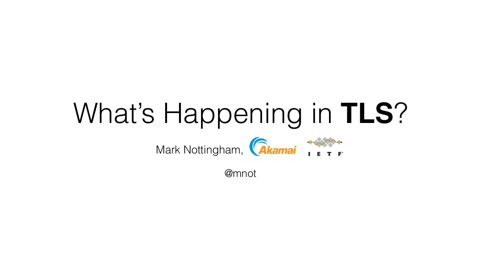# What's Happening in **TLS**?



@mnot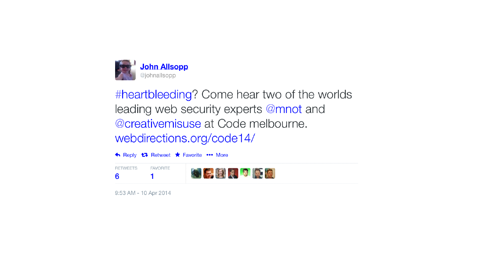

#heartbleeding? Come hear two of the worlds leading web security experts @mnot and @creativemisuse at Code melbourne. webdirections.org/code14/



9:53 AM - 10 Apr 2014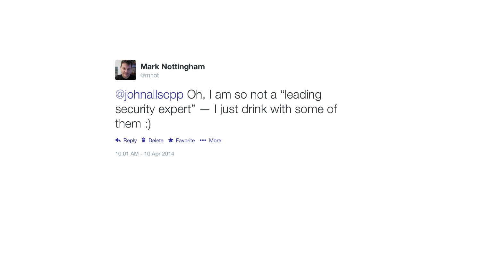

### @johnallsopp Oh, I am so not a "leading them :)

← Reply  $\hat{\mathbf{v}}$  Delete ★ Favorite … More

10:01 AM - 10 Apr 2014

security expert" - I just drink with some of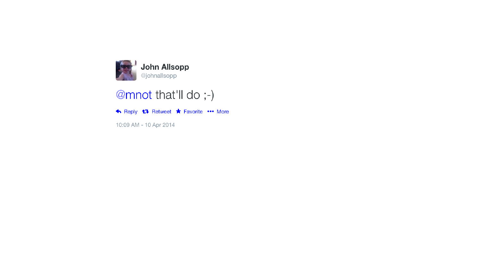

#### @mnot that'll do ;-)

← Reply t7 Retweet ★ Favorite ••• More

10:09 AM - 10 Apr 2014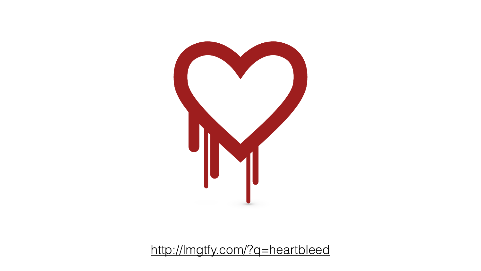

#### http://lmgtfy.com/?q=heartbleed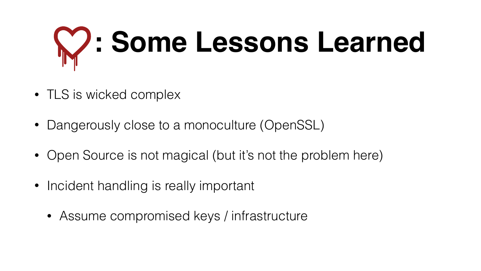

- TLS is wicked complex
- Dangerously close to a monoculture (OpenSSL)
- Open Source is not magical (but it's not the problem here)
- Incident handling is really important
	- Assume compromised keys / infrastructure

## *W*: Some Lessons Learned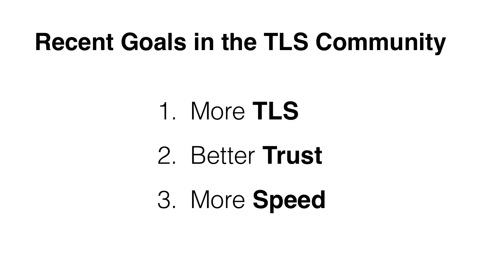## **Recent Goals in the TLS Community**

## 1. More **TLS**

# 2. Better **Trust**

## 3. More **Speed**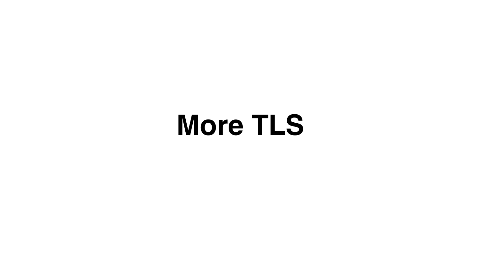**More TLS**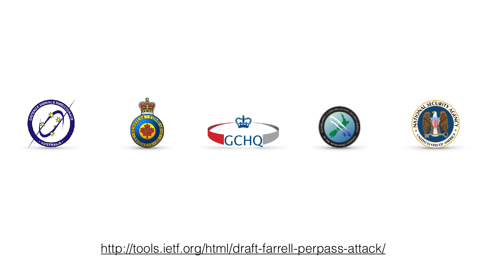



### <http://tools.ietf.org/html/draft-farrell-perpass-attack/>





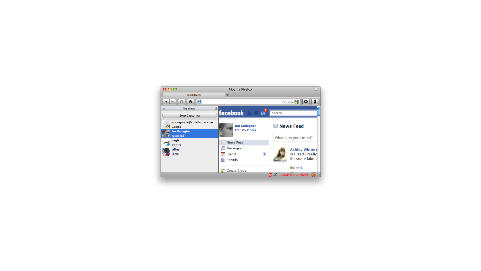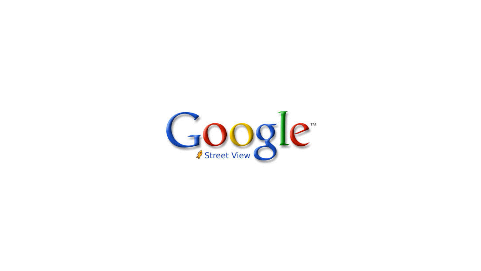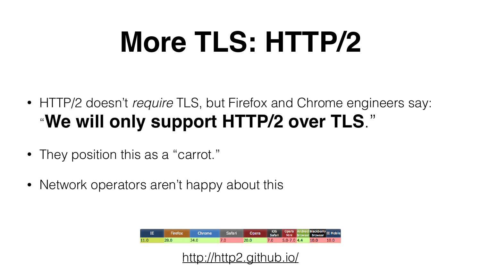# **More TLS: HTTP/2**

### • HTTP/2 doesn't *require* TLS, but Firefox and Chrome engineers say: "**We will only support HTTP/2 over TLS**."

- They position this as a "carrot."
- Network operators aren't happy about this

| Firefox | Chrome | <b>Safari</b> | Opera |                 | iOS Opera Android Blackberry IE Mobile<br>Safari Mini Browser Browser |      |
|---------|--------|---------------|-------|-----------------|-----------------------------------------------------------------------|------|
| 28.0    | 34.0   |               | 20.0  | $5.0 - 7.0$ 4.4 | 10.0                                                                  | 10.0 |

<http://http2.github.io/>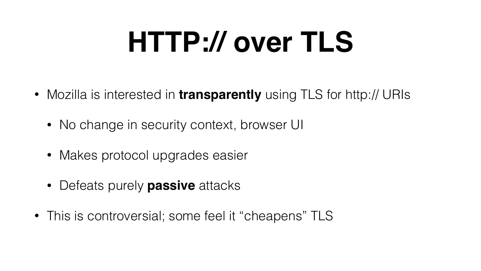# **HTTP:// over TLS**

- Mozilla is interested in **transparently** using TLS for http:// URIs
	- No change in security context, browser UI
	- Makes protocol upgrades easier
	- Defeats purely **passive** attacks
- This is controversial; some feel it "cheapens" TLS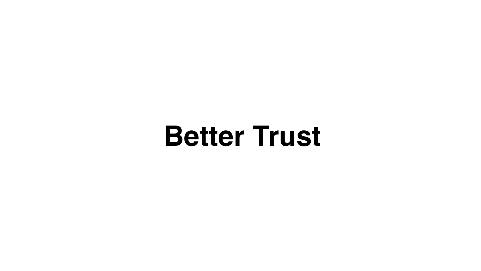## **Better Trust**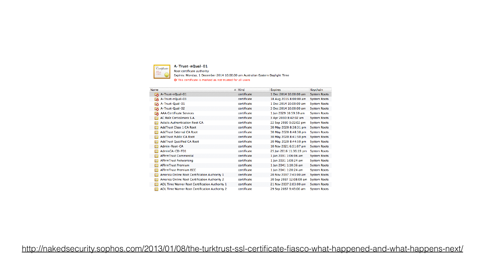

A-Trust-nQual-01 Root certificate authority Expires: Monday, 1 December 2014 10:00:00 am Australian Eastern Daylight Time © This certificate is marked as not trusted for all users

| Name |                                                | ▲ Kind      | <b>Expires</b>          | Keychain            |
|------|------------------------------------------------|-------------|-------------------------|---------------------|
| LO.  | A-Trust-nQual-01                               | certificate | 1 Dec 2014 10:00:00 am  | <b>System Roots</b> |
| la.  | A-Trust-nQual-03                               | certificate | 18 Aug 2015 8:00:00 am  | <b>System Roots</b> |
| L٥   | A-Trust-Qual-01                                | certificate | 1 Dec 2014 10:00:00 am  | <b>System Roots</b> |
| Lo.  | A-Trust-Qual-02                                | certificate | 3 Dec 2014 10:00:00 am  | <b>System Roots</b> |
| LG.  | <b>AAA Certificate Services</b>                | certificate | 1 Jan 2029 10:59:59 am  | <b>System Roots</b> |
| 冨    | AC Raíz Certicámara S.A.                       | certificate | 3 Apr 2030 8:42:02 am   | <b>System Roots</b> |
| F    | <b>Actalis Authentication Root CA</b>          | certificate | 22 Sep 2030 9:22:02 pm  | <b>System Roots</b> |
| 臣    | AddTrust Class 1 CA Root                       | certificate | 30 May 2020 8:38:31 pm  | <b>System Roots</b> |
| E    | AddTrust External CA Root                      | certificate | 30 May 2020 8:48:38 pm  | <b>System Roots</b> |
| E    | <b>AddTrust Public CA Root</b>                 | certificate | 30 May 2020 8:41:50 pm  | <b>System Roots</b> |
| F    | AddTrust Qualified CA Root                     | certificate | 30 May 2020 8:44:50 pm  | <b>System Roots</b> |
| 臣    | Admin-Root-CA                                  | certificate | 10 Nov 2021 6:51:07 pm  | <b>System Roots</b> |
| 臣    | AdminCA-CD-T01                                 | certificate | 25 Jan 2016 11:36:19 pm | <b>System Roots</b> |
| 冨    | <b>AffirmTrust Commercial</b>                  | certificate | 1 Jan 2031 1:06:06 am   | <b>System Roots</b> |
| 臣    | AffirmTrust Networking                         | certificate | 1 Jan 2031 1:08:24 am   | <b>System Roots</b> |
| 區    | <b>AffirmTrust Premium</b>                     | certificate | 1 Jan 2041 1:10:36 am   | <b>System Roots</b> |
| 冨    | <b>AffirmTrust Premium ECC</b>                 | certificate | 1 Jan 2041 1:20:24 am   | <b>System Roots</b> |
| F    | America Online Root Certification Authority 1  | certificate | 20 Nov 2037 7:43:00 am  | <b>System Roots</b> |
| 麘    | America Online Root Certification Authority 2  | certificate | 30 Sep 2037 12:08:00 am | <b>System Roots</b> |
| E    | AOL Time Warner Root Certification Authority 1 | certificate | 21 Nov 2037 2:03:00 am  | <b>System Roots</b> |
| Ξ    | AOL Time Warner Root Certification Authority 2 | certificate | 29 Sep 2037 9:43:00 am  | <b>System Roots</b> |

<http://nakedsecurity.sophos.com/2013/01/08/the-turktrust-ssl-certificate-fiasco-what-happened-and-what-happens-next/>

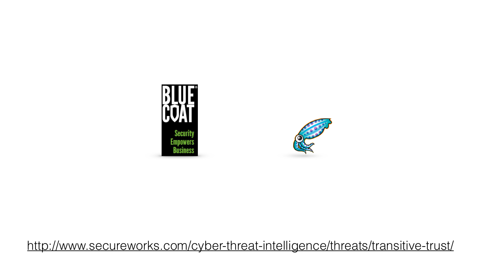

#### <http://www.secureworks.com/cyber-threat-intelligence/threats/transitive-trust/>



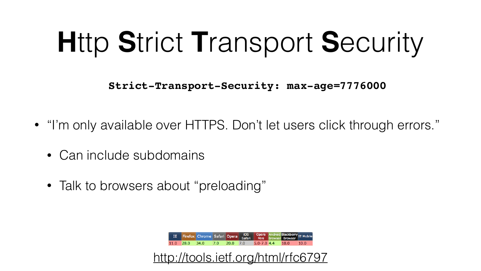# **H**ttp **S**trict **T**ransport **S**ecurity

- - Can include subdomains
	- Talk to browsers about "preloading"

• "I'm only available over HTTPS. Don't let users click through errors."



| iOS<br>Safari                                   | Opera Android Blackberry IE Mobile<br>Mini Browser Browser |
|-------------------------------------------------|------------------------------------------------------------|
| 28.0 34.0 7.0 20.0 7.0 5.0-7.0 4.4 10.0<br>11.0 | 10.0                                                       |

**Strict-Transport-Security: max-age=7776000**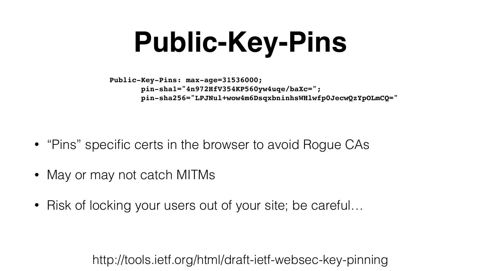# **Public-Key-Pins**

- "Pins" specific certs in the browser to avoid Rogue CAs
- May or may not catch MITMs
- Risk of locking your users out of your site; be careful...

http://tools.ietf.org/html/draft-ietf-websec-key-pinning

**Public-Key-Pins: max-age=31536000; pin-sha1="4n972HfV354KP560yw4uqe/baXc="; pin-sha256="LPJNul+wow4m6DsqxbninhsWHlwfp0JecwQzYpOLmCQ="**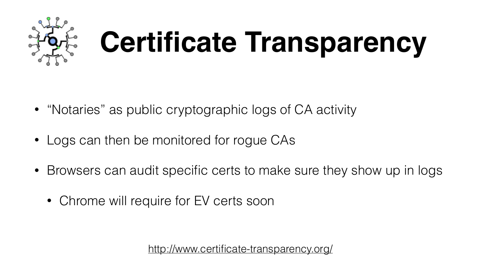

# **Certificate Transparency**

- "Notaries" as public cryptographic logs of CA activity
- Logs can then be monitored for rogue CAs
- Browsers can audit specific certs to make sure they show up in logs
	- Chrome will require for EV certs soon

<http://www.certificate-transparency.org/>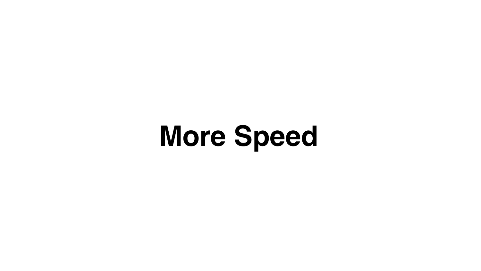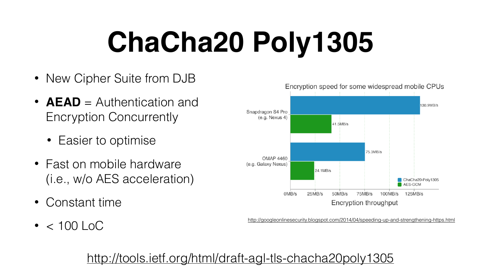# **ChaCha20 Poly1305**

- New Cipher Suite from DJB
- **AEAD** = Authentication and Encryption Concurrently
	- Easier to optimise
- Fast on mobile hardware (i.e., w/o AES acceleration)
- Constant time
- $\bullet$  < 100 LoC



#### <http://tools.ietf.org/html/draft-agl-tls-chacha20poly1305>



<http://googleonlinesecurity.blogspot.com/2014/04/speeding-up-and-strengthening-https.html>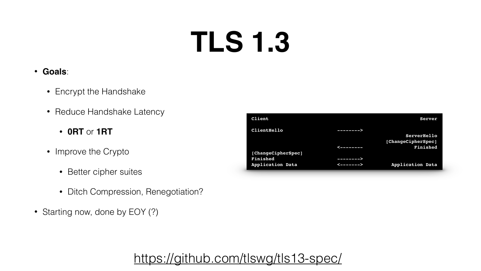## **TLS 1.3**

- **Goals**:
	- Encrypt the Handshake
	- Reduce Handshake Latency

#### • **0RT** or **1RT**

- Improve the Crypto
	- Better cipher suites
	- Ditch Compression, Renegotiation?
- Starting now, done by EOY (?)

### <https://github.com/tlswg/tls13-spec/>

| Client             |                         | Server             |
|--------------------|-------------------------|--------------------|
| ClientHello        | --------                |                    |
|                    |                         | ServerHello        |
|                    |                         | [ChangeCipherSpec] |
|                    | ---------               | Finished           |
| [ChangeCipherSpec] |                         |                    |
| Finished           | ---------               |                    |
| Application Data   | <u>&lt;--------&gt;</u> | Application Data   |